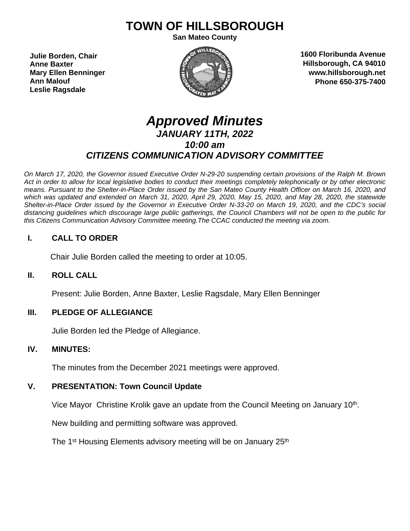# **TOWN OF HILLSBOROUGH**

**San Mateo County**

**Julie Borden, Chair Anne Baxter Mary Ellen Benninger Ann Malouf Leslie Ragsdale**



**1600 Floribunda Avenue Hillsborough, CA 94010 www.hillsborough.net Phone 650-375-7400**

# *Approved Minutes JANUARY 11TH, 2022 10:00 am CITIZENS COMMUNICATION ADVISORY COMMITTEE*

On March 17, 2020, the Governor issued Executive Order N-29-20 suspending certain provisions of the Ralph M. Brown Act in order to allow for local legislative bodies to conduct their meetings completely telephonically or by other electronic means. Pursuant to the Shelter-in-Place Order issued by the San Mateo County Health Officer on March 16, 2020, and which was updated and extended on March 31, 2020, April 29, 2020, May 15, 2020, and May 28, 2020, the statewide Shelter-in-Place Order issued by the Governor in Executive Order N-33-20 on March 19, 2020, and the CDC's social distancing guidelines which discourage large public gatherings, the Council Chambers will not be open to the public for *this Citizens Communication Advisory Committee meeting.The CCAC conducted the meeting via zoom.*

# **I. CALL TO ORDER**

Chair Julie Borden called the meeting to order at 10:05.

# **II. ROLL CALL**

Present: Julie Borden, Anne Baxter, Leslie Ragsdale, Mary Ellen Benninger

# **III. PLEDGE OF ALLEGIANCE**

Julie Borden led the Pledge of Allegiance.

# **IV. MINUTES:**

The minutes from the December 2021 meetings were approved.

# **V. PRESENTATION: Town Council Update**

Vice Mayor Christine Krolik gave an update from the Council Meeting on January 10<sup>th</sup>.

New building and permitting software was approved.

The 1<sup>st</sup> Housing Elements advisory meeting will be on January 25<sup>th</sup>